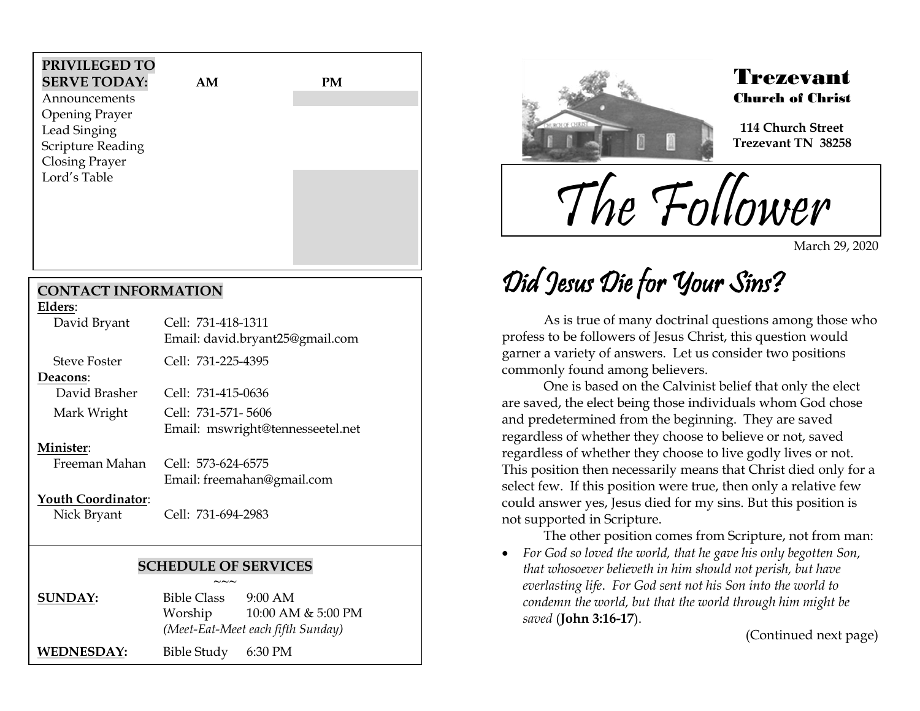| PRIVILEGED TO<br><b>SERVE TODAY:</b> | AM | PM |  |
|--------------------------------------|----|----|--|
| Announcements                        |    |    |  |
| <b>Opening Prayer</b>                |    |    |  |
| Lead Singing                         |    |    |  |
| <b>Scripture Reading</b>             |    |    |  |
| <b>Closing Prayer</b>                |    |    |  |
| Lord's Table                         |    |    |  |
|                                      |    |    |  |
|                                      |    |    |  |
|                                      |    |    |  |

### **CONTACT INFORMATION**

| Elders:      |                                 |
|--------------|---------------------------------|
| David Bryant | Cell: 731-418-1311              |
|              | Email: david.bryant25@gmail.com |
| Steve Foster | Cell: 731-225-4395              |
|              |                                 |

**Deacons**:

 David Brasher Cell: 731-415-0636 Mark Wright Cell: 731-571- 5606 Email: mswright@tennesseetel.net

#### **Minister**:

 Freeman Mahan Cell: 573-624-6575 Email: [freemahan@gmail.com](mailto:freemahan@gmail.com)

### **Youth Coordinator**:

Nick Bryant Cell: 731-694-2983

### **SCHEDULE OF SERVICES**

**~~~ SUNDAY:** Bible Class 9:00 AM Worship 10:00 AM & 5:00 PM *(Meet-Eat-Meet each fifth Sunday)* **WEDNESDAY:** Bible Study 6:30 PM



## Trezevant Church of Christ

**114 Church Street Trezevant TN 38258**

The Follower

March 29, 2020

# Did Jesus Die for Your Sins?

As is true of many doctrinal questions among those who profess to be followers of Jesus Christ, this question would garner a variety of answers. Let us consider two positions commonly found among believers.

One is based on the Calvinist belief that only the elect are saved, the elect being those individuals whom God chose and predetermined from the beginning. They are saved regardless of whether they choose to believe or not, saved regardless of whether they choose to live godly lives or not. This position then necessarily means that Christ died only for a select few. If this position were true, then only a relative few could answer yes, Jesus died for my sins. But this position is not supported in Scripture.

The other position comes from Scripture, not from man:

 *For God so loved the world, that he gave his only begotten Son, that whosoever believeth in him should not perish, but have everlasting life*. *For God sent not his Son into the world to condemn the world, but that the world through him might be saved* (**John 3:16-17**).

(Continued next page)